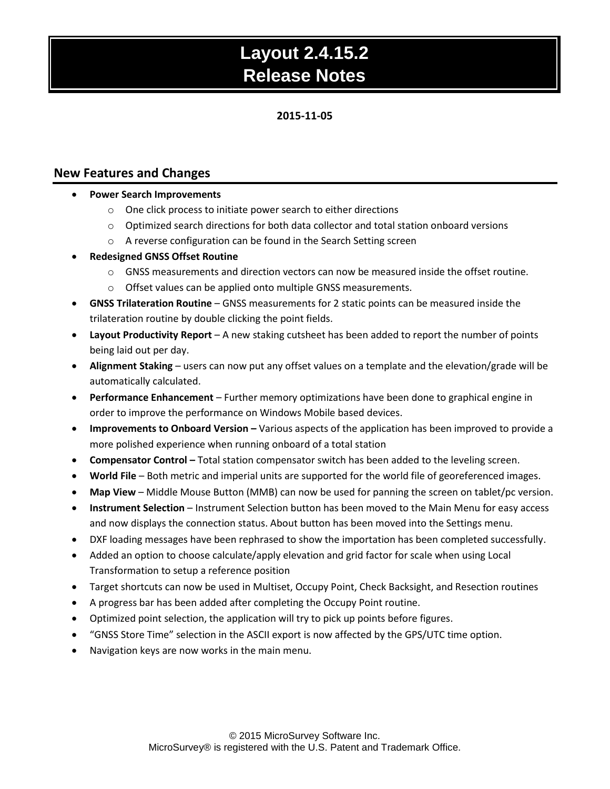# **2015-11-05**

# **New Features and Changes**

- **Power Search Improvements**
	- o One click process to initiate power search to either directions
	- $\circ$  Optimized search directions for both data collector and total station onboard versions
	- o A reverse configuration can be found in the Search Setting screen
- **Redesigned GNSS Offset Routine**
	- $\circ$  GNSS measurements and direction vectors can now be measured inside the offset routine.
	- o Offset values can be applied onto multiple GNSS measurements.
- **GNSS Trilateration Routine**  GNSS measurements for 2 static points can be measured inside the trilateration routine by double clicking the point fields.
- **Layout Productivity Report** A new staking cutsheet has been added to report the number of points being laid out per day.
- **Alignment Staking** users can now put any offset values on a template and the elevation/grade will be automatically calculated.
- **Performance Enhancement**  Further memory optimizations have been done to graphical engine in order to improve the performance on Windows Mobile based devices.
- **Improvements to Onboard Version –** Various aspects of the application has been improved to provide a more polished experience when running onboard of a total station
- **Compensator Control –** Total station compensator switch has been added to the leveling screen.
- **World File**  Both metric and imperial units are supported for the world file of georeferenced images.
- **Map View** Middle Mouse Button (MMB) can now be used for panning the screen on tablet/pc version.
- **Instrument Selection** Instrument Selection button has been moved to the Main Menu for easy access and now displays the connection status. About button has been moved into the Settings menu.
- DXF loading messages have been rephrased to show the importation has been completed successfully.
- Added an option to choose calculate/apply elevation and grid factor for scale when using Local Transformation to setup a reference position
- Target shortcuts can now be used in Multiset, Occupy Point, Check Backsight, and Resection routines
- A progress bar has been added after completing the Occupy Point routine.
- Optimized point selection, the application will try to pick up points before figures.
- "GNSS Store Time" selection in the ASCII export is now affected by the GPS/UTC time option.
- Navigation keys are now works in the main menu.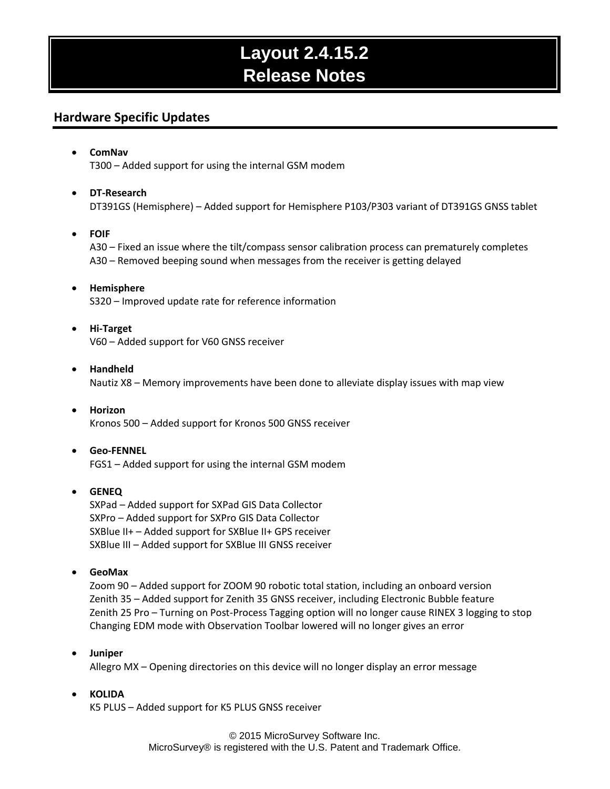# **Hardware Specific Updates**

## **ComNav** T300 – Added support for using the internal GSM modem

## **DT-Research**

DT391GS (Hemisphere) – Added support for Hemisphere P103/P303 variant of DT391GS GNSS tablet

## **FOIF**

A30 – Fixed an issue where the tilt/compass sensor calibration process can prematurely completes A30 – Removed beeping sound when messages from the receiver is getting delayed

## **Hemisphere** S320 – Improved update rate for reference information

 **Hi-Target** V60 – Added support for V60 GNSS receiver

#### **Handheld** Nautiz X8 – Memory improvements have been done to alleviate display issues with map view

 **Horizon** Kronos 500 – Added support for Kronos 500 GNSS receiver

#### **Geo-FENNEL** FGS1 – Added support for using the internal GSM modem

# **GENEQ**

SXPad – Added support for SXPad GIS Data Collector SXPro – Added support for SXPro GIS Data Collector SXBlue II+ – Added support for SXBlue II+ GPS receiver SXBlue III – Added support for SXBlue III GNSS receiver

**GeoMax**

Zoom 90 – Added support for ZOOM 90 robotic total station, including an onboard version Zenith 35 – Added support for Zenith 35 GNSS receiver, including Electronic Bubble feature Zenith 25 Pro – Turning on Post-Process Tagging option will no longer cause RINEX 3 logging to stop Changing EDM mode with Observation Toolbar lowered will no longer gives an error

#### **Juniper**

Allegro MX – Opening directories on this device will no longer display an error message

# **KOLIDA**

K5 PLUS – Added support for K5 PLUS GNSS receiver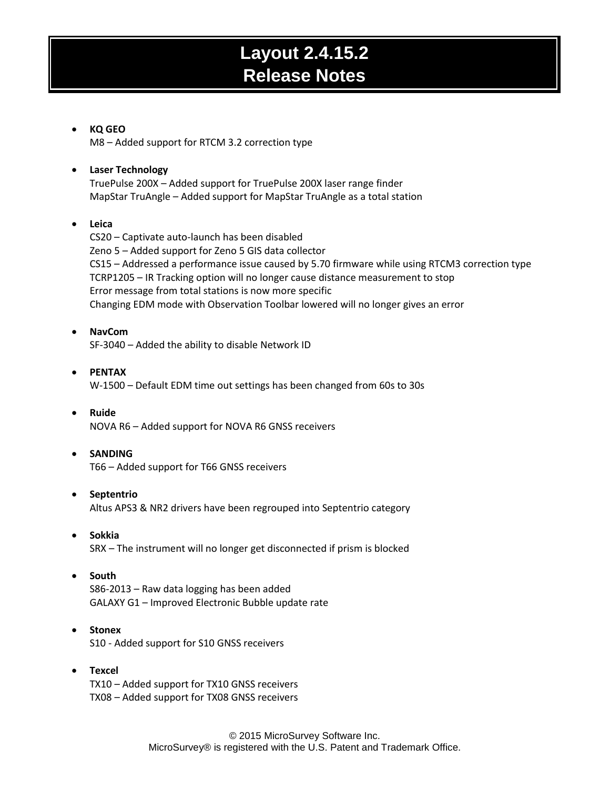# **KQ GEO**

M8 – Added support for RTCM 3.2 correction type

## **Laser Technology** TruePulse 200X – Added support for TruePulse 200X laser range finder MapStar TruAngle – Added support for MapStar TruAngle as a total station

## **Leica**

CS20 – Captivate auto-launch has been disabled Zeno 5 – Added support for Zeno 5 GIS data collector CS15 – Addressed a performance issue caused by 5.70 firmware while using RTCM3 correction type TCRP1205 – IR Tracking option will no longer cause distance measurement to stop Error message from total stations is now more specific Changing EDM mode with Observation Toolbar lowered will no longer gives an error

**NavCom**

SF-3040 – Added the ability to disable Network ID

- **PENTAX** W-1500 – Default EDM time out settings has been changed from 60s to 30s
- **Ruide** NOVA R6 – Added support for NOVA R6 GNSS receivers
- **SANDING**

T66 – Added support for T66 GNSS receivers

#### **Septentrio**

Altus APS3 & NR2 drivers have been regrouped into Septentrio category

- **Sokkia** SRX – The instrument will no longer get disconnected if prism is blocked
- **•** South

S86-2013 – Raw data logging has been added GALAXY G1 – Improved Electronic Bubble update rate

- **Stonex** S10 - Added support for S10 GNSS receivers
- **Texcel** TX10 – Added support for TX10 GNSS receivers TX08 – Added support for TX08 GNSS receivers